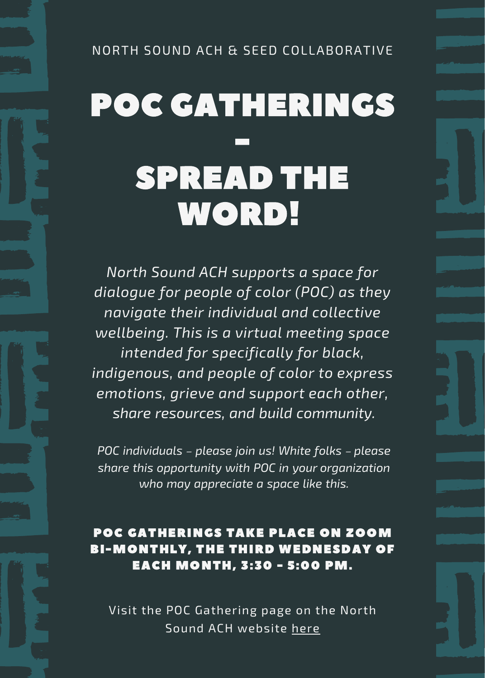## POC GATHERINGS - SPREAD THE WORD!

*North Sound ACH supports a space for dialogue for people of color (POC) as they navigate their individual and collective wellbeing. This is a virtual meeting space intended for specifically for black, indigenous, and people of color to express emotions, grieve and support each other, share resources, and build community.*

*POC individuals – please join us! White folks – please share this opportunity with POC in your organization who may appreciate a space like this.*

POC GATHERINGS TAKE PLACE ON ZOOM BI-MONTHLY, THE THIRD WEDNESDAY OF EACH MONTH, 3:30 - 5:00 PM.

Visit the POC Gathering page on the North Sound ACH website [here](https://northsoundach.org/poc-gatherings/)